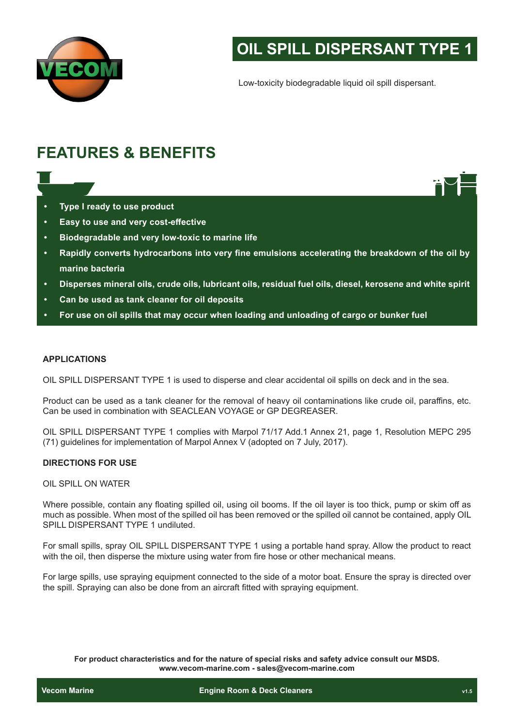

# **OIL SPILL DISPERSANT TYPE 1**

Low-toxicity biodegradable liquid oil spill dispersant.

# **FEATURES & BENEFITS**

- **• Type I ready to use product**
- **• Easy to use and very cost-effective**
- **• Biodegradable and very low-toxic to marine life**
- **• Rapidly converts hydrocarbons into very fine emulsions accelerating the breakdown of the oil by marine bacteria**
- **• Disperses mineral oils, crude oils, lubricant oils, residual fuel oils, diesel, kerosene and white spirit**
- **• Can be used as tank cleaner for oil deposits**
- **• For use on oil spills that may occur when loading and unloading of cargo or bunker fuel**

#### **APPLICATIONS**

OIL SPILL DISPERSANT TYPE 1 is used to disperse and clear accidental oil spills on deck and in the sea.

Product can be used as a tank cleaner for the removal of heavy oil contaminations like crude oil, paraffins, etc. Can be used in combination with SEACLEAN VOYAGE or GP DEGREASER.

OIL SPILL DISPERSANT TYPE 1 complies with Marpol 71/17 Add.1 Annex 21, page 1, Resolution MEPC 295 (71) guidelines for implementation of Marpol Annex V (adopted on 7 July, 2017).

## **DIRECTIONS FOR USE**

#### OIL SPILL ON WATER

Where possible, contain any floating spilled oil, using oil booms. If the oil layer is too thick, pump or skim off as much as possible. When most of the spilled oil has been removed or the spilled oil cannot be contained, apply OIL SPILL DISPERSANT TYPE 1 undiluted.

For small spills, spray OIL SPILL DISPERSANT TYPE 1 using a portable hand spray. Allow the product to react with the oil, then disperse the mixture using water from fire hose or other mechanical means.

For large spills, use spraying equipment connected to the side of a motor boat. Ensure the spray is directed over the spill. Spraying can also be done from an aircraft fitted with spraying equipment.

**For product characteristics and for the nature of special risks and safety advice consult our MSDS. www.vecom-marine.com - sales@vecom-marine.com**